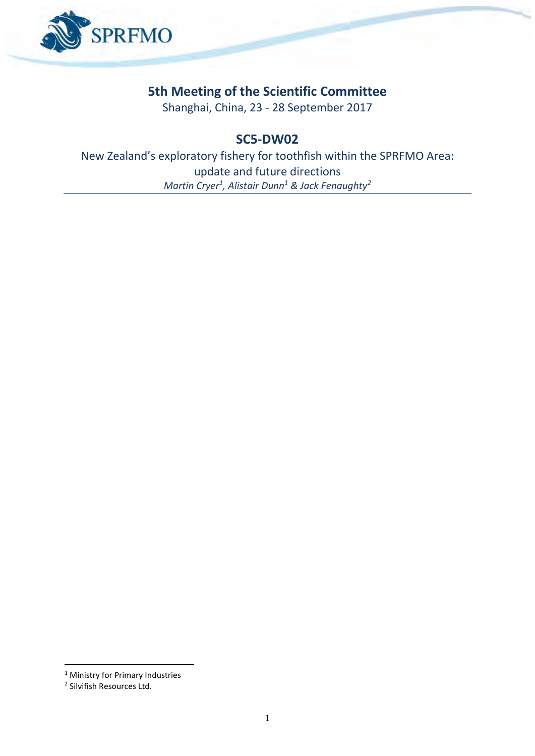

# **5th Meeting of the Scientific Committee**

Shanghai, China, 23 - 28 September 2017

## **SC5-DW02**

New Zealand's exploratory fishery for toothfish within the SPRFMO Area: update and future directions *Martin Cryer<sup>1</sup> , Alistair Dunn<sup>1</sup> & Jack Fenaughty<sup>2</sup>*

1

<sup>&</sup>lt;sup>1</sup> Ministry for Primary Industries

<sup>2</sup> Silvifish Resources Ltd.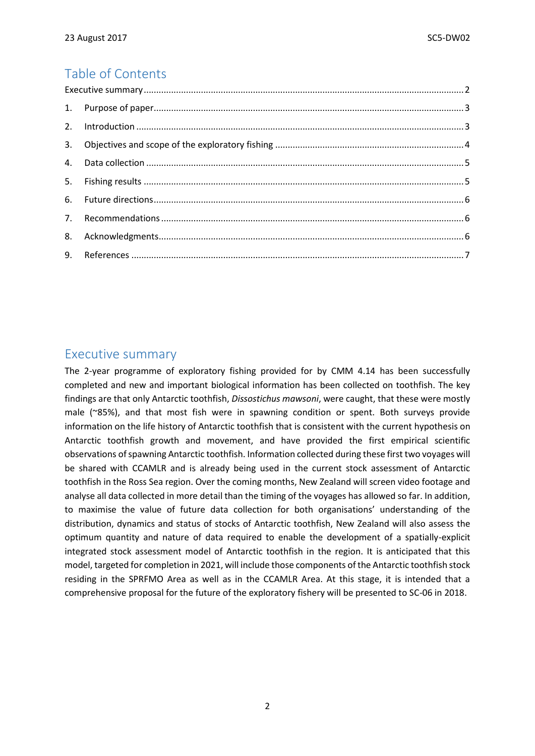## Table of Contents

## <span id="page-1-0"></span>Executive summary

The 2-year programme of exploratory fishing provided for by CMM 4.14 has been successfully completed and new and important biological information has been collected on toothfish. The key findings are that only Antarctic toothfish, *Dissostichus mawsoni*, were caught, that these were mostly male (~85%), and that most fish were in spawning condition or spent. Both surveys provide information on the life history of Antarctic toothfish that is consistent with the current hypothesis on Antarctic toothfish growth and movement, and have provided the first empirical scientific observations of spawning Antarctic toothfish. Information collected during these first two voyages will be shared with CCAMLR and is already being used in the current stock assessment of Antarctic toothfish in the Ross Sea region. Over the coming months, New Zealand will screen video footage and analyse all data collected in more detail than the timing of the voyages has allowed so far. In addition, to maximise the value of future data collection for both organisations' understanding of the distribution, dynamics and status of stocks of Antarctic toothfish, New Zealand will also assess the optimum quantity and nature of data required to enable the development of a spatially-explicit integrated stock assessment model of Antarctic toothfish in the region. It is anticipated that this model, targeted for completion in 2021, will include those components of the Antarctic toothfish stock residing in the SPRFMO Area as well as in the CCAMLR Area. At this stage, it is intended that a comprehensive proposal for the future of the exploratory fishery will be presented to SC-06 in 2018.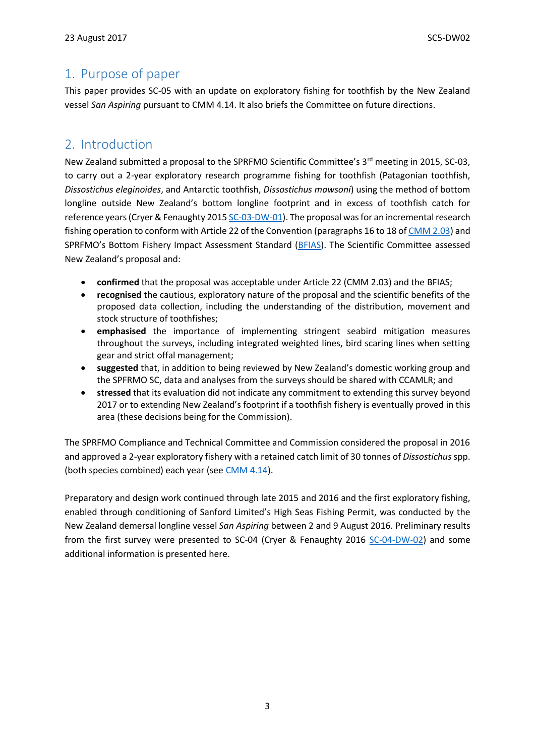#### <span id="page-2-0"></span>1. Purpose of paper

This paper provides SC-05 with an update on exploratory fishing for toothfish by the New Zealand vessel *San Aspiring* pursuant to CMM 4.14. It also briefs the Committee on future directions.

#### <span id="page-2-1"></span>2. Introduction

New Zealand submitted a proposal to the SPRFMO Scientific Committee's 3<sup>rd</sup> meeting in 2015, SC-03, to carry out a 2-year exploratory research programme fishing for toothfish (Patagonian toothfish, *Dissostichus eleginoides*, and Antarctic toothfish, *Dissostichus mawsoni*) using the method of bottom longline outside New Zealand's bottom longline footprint and in excess of toothfish catch for reference years (Cryer & Fenaughty 201[5 SC-03-DW-01\)](http://www.sprfmo.int/assets/Meetings/Meetings-2013-plus/SC-Meetings/3rd-SC-Meeting-2015/Papers/SC-03-DW-01-rev2-New-Zealand-Proposal-to-conduct-exploratory-bottom-longlining.pdf). The proposal was for an incremental research fishing operation to conform with Article 22 of the Convention (paragraphs 16 to 18 o[f CMM 2.03\)](http://www.sprfmo.int/assets/Meetings/Meetings-2013-plus/Commission-Meetings/2nd-Commission-Meeting-2014-Manta-Ecuador/Annex-M-CMM-2.03-CMM-for-Bottom-Fishing.pdf) and SPRFMO's Bottom Fishery Impact Assessment Standard ([BFIAS\)](http://www.sprfmo.int/assets/Meetings/Meetings-before-2013/Scientific-Working-Group/SWG-06-2008/a-Miscellaneous-Documents/SPRFMO-Bottom-Fishing-Impact-Assessment-Standardagreed-Vanuatu-Fri23Sep2011-1140am.pdf). The Scientific Committee assessed New Zealand's proposal and:

- **confirmed** that the proposal was acceptable under Article 22 (CMM 2.03) and the BFIAS;
- **recognised** the cautious, exploratory nature of the proposal and the scientific benefits of the proposed data collection, including the understanding of the distribution, movement and stock structure of toothfishes;
- **emphasised** the importance of implementing stringent seabird mitigation measures throughout the surveys, including integrated weighted lines, bird scaring lines when setting gear and strict offal management;
- **suggested** that, in addition to being reviewed by New Zealand's domestic working group and the SPFRMO SC, data and analyses from the surveys should be shared with CCAMLR; and
- **stressed** that its evaluation did not indicate any commitment to extending this survey beyond 2017 or to extending New Zealand's footprint if a toothfish fishery is eventually proved in this area (these decisions being for the Commission).

The SPRFMO Compliance and Technical Committee and Commission considered the proposal in 2016 and approved a 2-year exploratory fishery with a retained catch limit of 30 tonnes of *Dissostichus* spp. (both species combined) each year (see [CMM](http://www.sprfmo.int/assets/Fisheries/Conservation-and-Management-Measures/CMM-4.14-Exploratory-Toothfish-Fishing-2016-4Mar2016.pdf) 4.14).

<span id="page-2-2"></span>Preparatory and design work continued through late 2015 and 2016 and the first exploratory fishing, enabled through conditioning of Sanford Limited's High Seas Fishing Permit, was conducted by the New Zealand demersal longline vessel *San Aspiring* between 2 and 9 August 2016. Preliminary results from the first survey were presented to SC-04 (Cryer & Fenaughty 2016 [SC-04-DW-02\)](http://www.sprfmo.int/assets/Meetings/Meetings-2013-plus/SC-Meetings/4th-SC-Meeting-2016/SC04-papers/SC-04-DW-02-New-Zealands-exploratory-fishery-for-toothfish-within-the-SPRFMO-Convention-Area.pdf) and some additional information is presented here.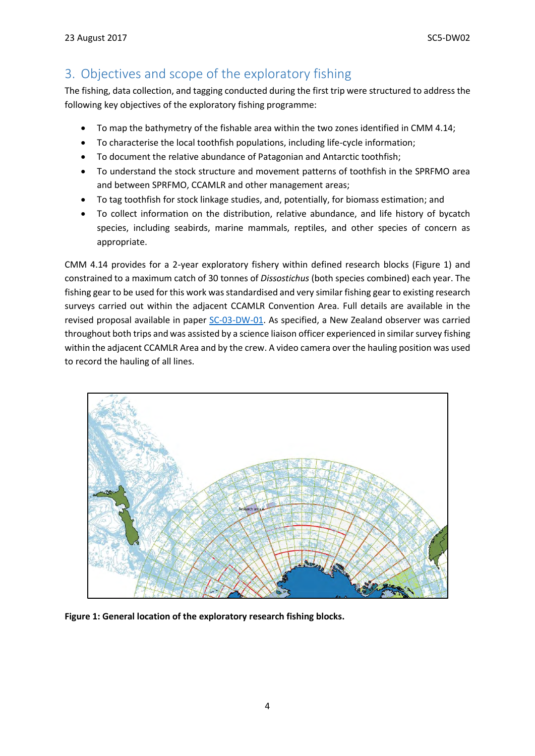# 3. Objectives and scope of the exploratory fishing

The fishing, data collection, and tagging conducted during the first trip were structured to address the following key objectives of the exploratory fishing programme:

- To map the bathymetry of the fishable area within the two zones identified in CMM 4.14;
- To characterise the local toothfish populations, including life-cycle information;
- To document the relative abundance of Patagonian and Antarctic toothfish;
- To understand the stock structure and movement patterns of toothfish in the SPRFMO area and between SPRFMO, CCAMLR and other management areas;
- To tag toothfish for stock linkage studies, and, potentially, for biomass estimation; and
- To collect information on the distribution, relative abundance, and life history of bycatch species, including seabirds, marine mammals, reptiles, and other species of concern as appropriate.

CMM 4.14 provides for a 2-year exploratory fishery within defined research blocks (Figure 1) and constrained to a maximum catch of 30 tonnes of *Dissostichus* (both species combined) each year. The fishing gear to be used for this work was standardised and very similar fishing gear to existing research surveys carried out within the adjacent CCAMLR Convention Area. Full details are available in the revised proposal available in paper [SC-03-DW-01.](http://www.sprfmo.int/assets/Meetings/Meetings-2013-plus/SC-Meetings/3rd-SC-Meeting-2015/Papers/SC-03-DW-01-rev2-New-Zealand-Proposal-to-conduct-exploratory-bottom-longlining.pdf) As specified, a New Zealand observer was carried throughout both trips and was assisted by a science liaison officer experienced in similar survey fishing within the adjacent CCAMLR Area and by the crew. A video camera over the hauling position was used to record the hauling of all lines.



**Figure 1: General location of the exploratory research fishing blocks.**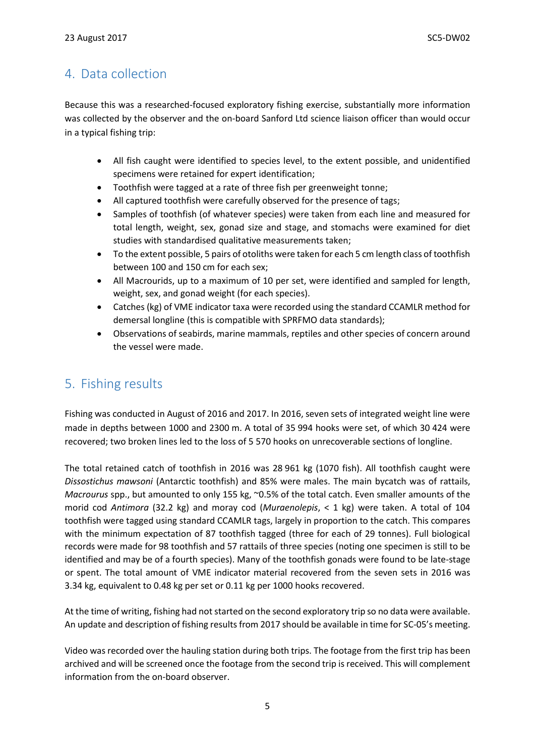## <span id="page-4-0"></span>4. Data collection

Because this was a researched-focused exploratory fishing exercise, substantially more information was collected by the observer and the on-board Sanford Ltd science liaison officer than would occur in a typical fishing trip:

- All fish caught were identified to species level, to the extent possible, and unidentified specimens were retained for expert identification;
- Toothfish were tagged at a rate of three fish per greenweight tonne;
- All captured toothfish were carefully observed for the presence of tags;
- Samples of toothfish (of whatever species) were taken from each line and measured for total length, weight, sex, gonad size and stage, and stomachs were examined for diet studies with standardised qualitative measurements taken;
- To the extent possible, 5 pairs of otoliths were taken for each 5 cm length class of toothfish between 100 and 150 cm for each sex;
- All Macrourids, up to a maximum of 10 per set, were identified and sampled for length, weight, sex, and gonad weight (for each species).
- Catches (kg) of VME indicator taxa were recorded using the standard CCAMLR method for demersal longline (this is compatible with SPRFMO data standards);
- Observations of seabirds, marine mammals, reptiles and other species of concern around the vessel were made.

## <span id="page-4-1"></span>5. Fishing results

Fishing was conducted in August of 2016 and 2017. In 2016, seven sets of integrated weight line were made in depths between 1000 and 2300 m. A total of 35 994 hooks were set, of which 30 424 were recovered; two broken lines led to the loss of 5 570 hooks on unrecoverable sections of longline.

The total retained catch of toothfish in 2016 was 28 961 kg (1070 fish). All toothfish caught were *Dissostichus mawsoni* (Antarctic toothfish) and 85% were males. The main bycatch was of rattails, *Macrourus* spp., but amounted to only 155 kg, ~0.5% of the total catch. Even smaller amounts of the morid cod *Antimora* (32.2 kg) and moray cod (*Muraenolepis*, < 1 kg) were taken. A total of 104 toothfish were tagged using standard CCAMLR tags, largely in proportion to the catch. This compares with the minimum expectation of 87 toothfish tagged (three for each of 29 tonnes). Full biological records were made for 98 toothfish and 57 rattails of three species (noting one specimen is still to be identified and may be of a fourth species). Many of the toothfish gonads were found to be late-stage or spent. The total amount of VME indicator material recovered from the seven sets in 2016 was 3.34 kg, equivalent to 0.48 kg per set or 0.11 kg per 1000 hooks recovered.

At the time of writing, fishing had not started on the second exploratory trip so no data were available. An update and description of fishing results from 2017 should be available in time for SC-05's meeting.

Video was recorded over the hauling station during both trips. The footage from the first trip has been archived and will be screened once the footage from the second trip is received. This will complement information from the on-board observer.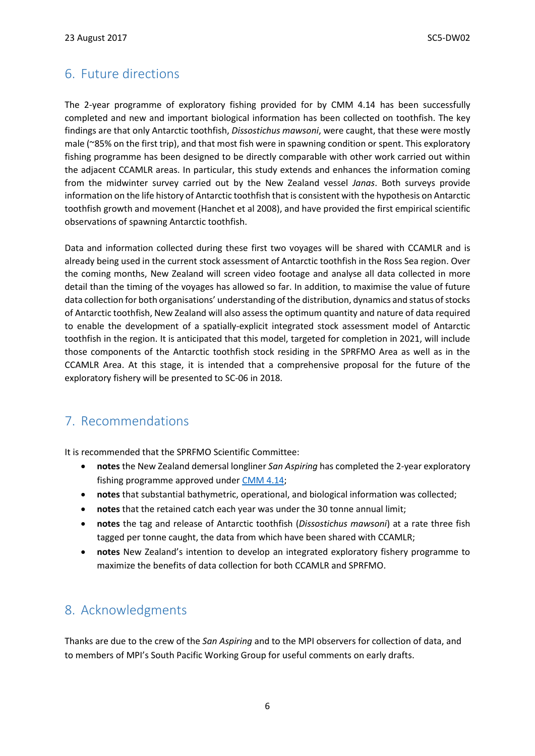## <span id="page-5-0"></span>6. Future directions

The 2-year programme of exploratory fishing provided for by CMM 4.14 has been successfully completed and new and important biological information has been collected on toothfish. The key findings are that only Antarctic toothfish, *Dissostichus mawsoni*, were caught, that these were mostly male (~85% on the first trip), and that most fish were in spawning condition or spent. This exploratory fishing programme has been designed to be directly comparable with other work carried out within the adjacent CCAMLR areas. In particular, this study extends and enhances the information coming from the midwinter survey carried out by the New Zealand vessel *Janas*. Both surveys provide information on the life history of Antarctic toothfish that is consistent with the hypothesis on Antarctic toothfish growth and movement (Hanchet et al 2008), and have provided the first empirical scientific observations of spawning Antarctic toothfish.

Data and information collected during these first two voyages will be shared with CCAMLR and is already being used in the current stock assessment of Antarctic toothfish in the Ross Sea region. Over the coming months, New Zealand will screen video footage and analyse all data collected in more detail than the timing of the voyages has allowed so far. In addition, to maximise the value of future data collection for both organisations' understanding of the distribution, dynamics and status of stocks of Antarctic toothfish, New Zealand will also assess the optimum quantity and nature of data required to enable the development of a spatially-explicit integrated stock assessment model of Antarctic toothfish in the region. It is anticipated that this model, targeted for completion in 2021, will include those components of the Antarctic toothfish stock residing in the SPRFMO Area as well as in the CCAMLR Area. At this stage, it is intended that a comprehensive proposal for the future of the exploratory fishery will be presented to SC-06 in 2018.

## <span id="page-5-1"></span>7. Recommendations

It is recommended that the SPRFMO Scientific Committee:

- **notes** the New Zealand demersal longliner *San Aspiring* has completed the 2-year exploratory fishing programme approved under [CMM 4.14;](http://www.sprfmo.int/assets/Fisheries/Conservation-and-Management-Measures/CMM-4.14-Exploratory-Toothfish-Fishing-2016-4Mar2016.pdf)
- **notes** that substantial bathymetric, operational, and biological information was collected;
- notes that the retained catch each year was under the 30 tonne annual limit;
- **notes** the tag and release of Antarctic toothfish (*Dissostichus mawsoni*) at a rate three fish tagged per tonne caught, the data from which have been shared with CCAMLR;
- **notes** New Zealand's intention to develop an integrated exploratory fishery programme to maximize the benefits of data collection for both CCAMLR and SPRFMO.

## <span id="page-5-2"></span>8. Acknowledgments

Thanks are due to the crew of the *San Aspiring* and to the MPI observers for collection of data, and to members of MPI's South Pacific Working Group for useful comments on early drafts.